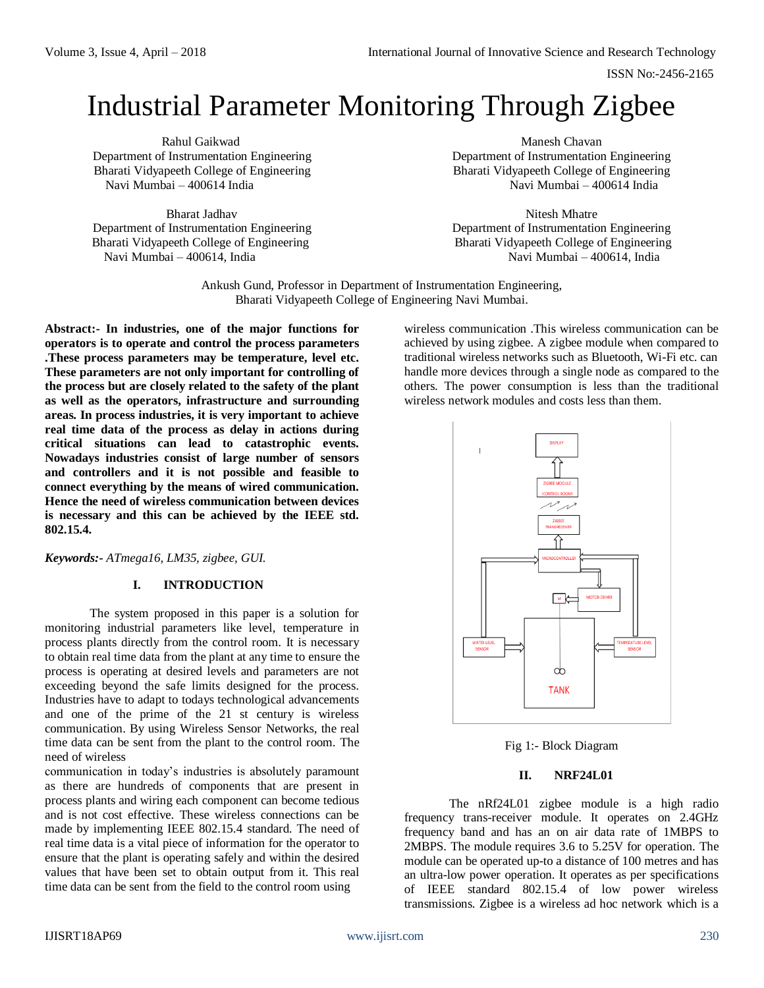ISSN No:-2456-2165

# Industrial Parameter Monitoring Through Zigbee

Bharat Jadhav Nitesh Mhatre Department of Instrumentation Engineering Department of Instrumentation Engineering Bharati Vidyapeeth College of Engineering Bharati Vidyapeeth College of Engineering Navi Mumbai – 400614, India Navi Mumbai – 400614, India

Rahul Gaikwad **Manesh Chavan** Manesh Chavan Manesh Chavan Manesh Chavan Manesh Chavan Manesh Chavan Manesh Chavan Department of Instrumentation Engineering Department of Instrumentation Engineering Bharati Vidyapeeth College of Engineering<br>Navi Mumbai – 400614 India<br>Navi Mumbai – 400614 India Navi Mumbai – 400614 India

Ankush Gund, Professor in Department of Instrumentation Engineering, Bharati Vidyapeeth College of Engineering Navi Mumbai.

**Abstract:- In industries, one of the major functions for operators is to operate and control the process parameters .These process parameters may be temperature, level etc. These parameters are not only important for controlling of the process but are closely related to the safety of the plant as well as the operators, infrastructure and surrounding areas. In process industries, it is very important to achieve real time data of the process as delay in actions during critical situations can lead to catastrophic events. Nowadays industries consist of large number of sensors and controllers and it is not possible and feasible to connect everything by the means of wired communication. Hence the need of wireless communication between devices is necessary and this can be achieved by the IEEE std. 802.15.4.**

*Keywords:- ATmega16, LM35, zigbee, GUI.*

## **I. INTRODUCTION**

The system proposed in this paper is a solution for monitoring industrial parameters like level, temperature in process plants directly from the control room. It is necessary to obtain real time data from the plant at any time to ensure the process is operating at desired levels and parameters are not exceeding beyond the safe limits designed for the process. Industries have to adapt to todays technological advancements and one of the prime of the 21 st century is wireless communication. By using Wireless Sensor Networks, the real time data can be sent from the plant to the control room. The need of wireless

communication in today's industries is absolutely paramount as there are hundreds of components that are present in process plants and wiring each component can become tedious and is not cost effective. These wireless connections can be made by implementing IEEE 802.15.4 standard. The need of real time data is a vital piece of information for the operator to ensure that the plant is operating safely and within the desired values that have been set to obtain output from it. This real time data can be sent from the field to the control room using

wireless communication .This wireless communication can be achieved by using zigbee. A zigbee module when compared to traditional wireless networks such as Bluetooth, Wi-Fi etc. can handle more devices through a single node as compared to the others. The power consumption is less than the traditional wireless network modules and costs less than them.



Fig 1:- Block Diagram

#### **II. NRF24L01**

The nRf24L01 zigbee module is a high radio frequency trans-receiver module. It operates on 2.4GHz frequency band and has an on air data rate of 1MBPS to 2MBPS. The module requires 3.6 to 5.25V for operation. The module can be operated up-to a distance of 100 metres and has an ultra-low power operation. It operates as per specifications of IEEE standard 802.15.4 of low power wireless transmissions. Zigbee is a wireless ad hoc network which is a